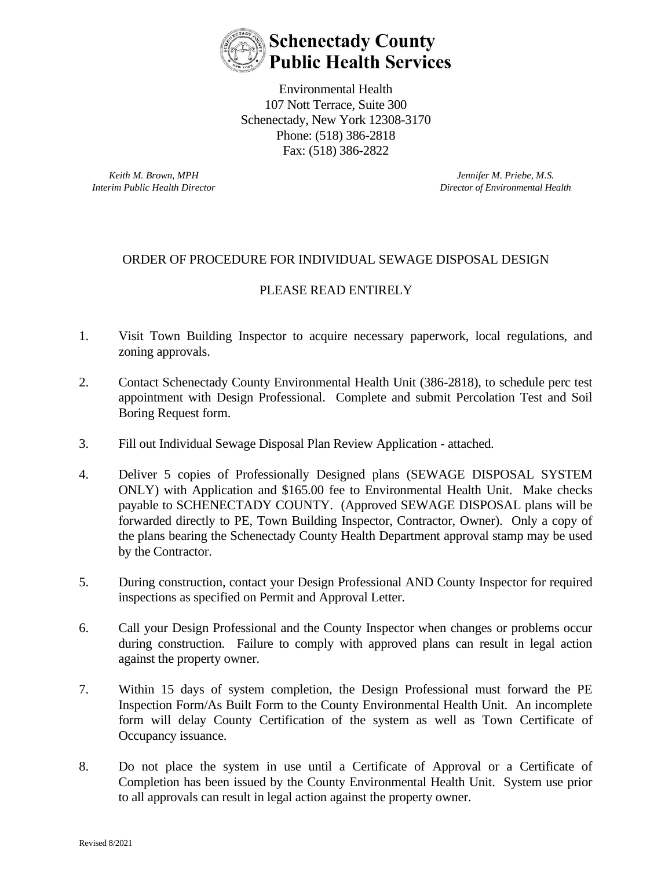

Environmental Health 107 Nott Terrace, Suite 300 Schenectady, New York 12308-3170 Phone: (518) 386-2818 Fax: (518) 386-2822

*Keith M. Brown, MPH Interim Public Health Director*

*Jennifer M. Priebe, M.S. Director of Environmental Health*

## ORDER OF PROCEDURE FOR INDIVIDUAL SEWAGE DISPOSAL DESIGN

## PLEASE READ ENTIRELY

- 1. Visit Town Building Inspector to acquire necessary paperwork, local regulations, and zoning approvals.
- 2. Contact Schenectady County Environmental Health Unit (386-2818), to schedule perc test appointment with Design Professional. Complete and submit Percolation Test and Soil Boring Request form.
- 3. Fill out Individual Sewage Disposal Plan Review Application attached.
- 4. Deliver 5 copies of Professionally Designed plans (SEWAGE DISPOSAL SYSTEM ONLY) with Application and \$165.00 fee to Environmental Health Unit. Make checks payable to SCHENECTADY COUNTY. (Approved SEWAGE DISPOSAL plans will be forwarded directly to PE, Town Building Inspector, Contractor, Owner). Only a copy of the plans bearing the Schenectady County Health Department approval stamp may be used by the Contractor.
- 5. During construction, contact your Design Professional AND County Inspector for required inspections as specified on Permit and Approval Letter.
- 6. Call your Design Professional and the County Inspector when changes or problems occur during construction. Failure to comply with approved plans can result in legal action against the property owner.
- 7. Within 15 days of system completion, the Design Professional must forward the PE Inspection Form/As Built Form to the County Environmental Health Unit. An incomplete form will delay County Certification of the system as well as Town Certificate of Occupancy issuance.
- 8. Do not place the system in use until a Certificate of Approval or a Certificate of Completion has been issued by the County Environmental Health Unit. System use prior to all approvals can result in legal action against the property owner.